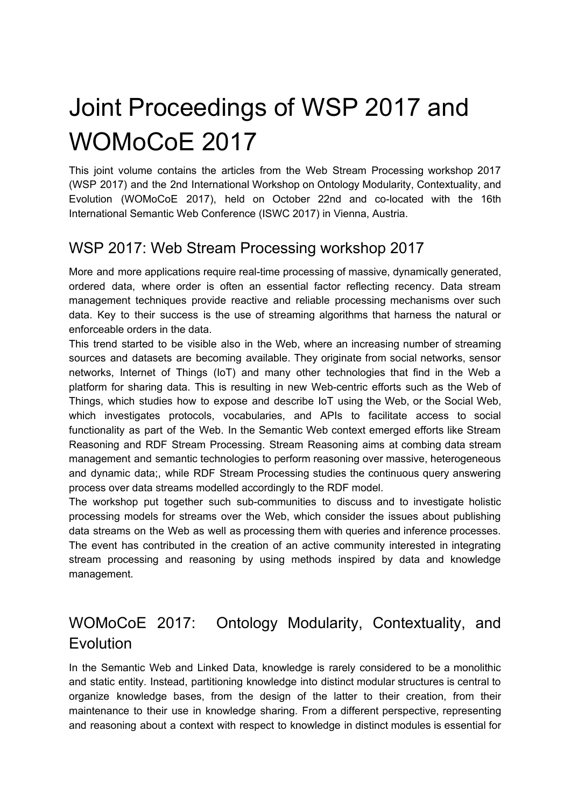# Joint Proceedings of WSP 2017 and WOMoCoE 2017

This joint volume contains the articles from the Web Stream Processing workshop 2017 (WSP 2017) and the 2nd International Workshop on Ontology Modularity, Contextuality, and Evolution (WOMoCoE 2017), held on October 22nd and co-located with the 16th International Semantic Web Conference (ISWC 2017) in Vienna, Austria.

### WSP 2017: Web Stream Processing workshop 2017

More and more applications require real-time processing of massive, dynamically generated, ordered data, where order is often an essential factor reflecting recency. Data stream management techniques provide reactive and reliable processing mechanisms over such data. Key to their success is the use of streaming algorithms that harness the natural or enforceable orders in the data.

This trend started to be visible also in the Web, where an increasing number of streaming sources and datasets are becoming available. They originate from social networks, sensor networks, Internet of Things (IoT) and many other technologies that find in the Web a platform for sharing data. This is resulting in new Web-centric efforts such as the Web of Things, which studies how to expose and describe IoT using the Web, or the Social Web, which investigates protocols, vocabularies, and APIs to facilitate access to social functionality as part of the Web. In the Semantic Web context emerged efforts like Stream Reasoning and RDF Stream Processing. Stream Reasoning aims at combing data stream management and semantic technologies to perform reasoning over massive, heterogeneous and dynamic data;, while RDF Stream Processing studies the continuous query answering process over data streams modelled accordingly to the RDF model.

The workshop put together such sub-communities to discuss and to investigate holistic processing models for streams over the Web, which consider the issues about publishing data streams on the Web as well as processing them with queries and inference processes. The event has contributed in the creation of an active community interested in integrating stream processing and reasoning by using methods inspired by data and knowledge management.

### WOMoCoE 2017: Ontology Modularity, Contextuality, and **Evolution**

In the Semantic Web and Linked Data, knowledge is rarely considered to be a monolithic and static entity. Instead, partitioning knowledge into distinct modular structures is central to organize knowledge bases, from the design of the latter to their creation, from their maintenance to their use in knowledge sharing. From a different perspective, representing and reasoning about a context with respect to knowledge in distinct modules is essential for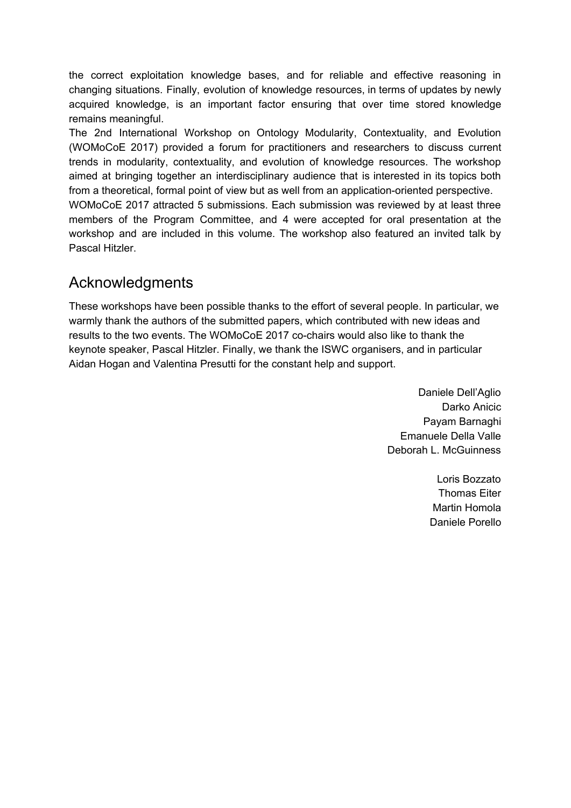the correct exploitation knowledge bases, and for reliable and effective reasoning in changing situations. Finally, evolution of knowledge resources, in terms of updates by newly acquired knowledge, is an important factor ensuring that over time stored knowledge remains meaningful.

The 2nd International Workshop on Ontology Modularity, Contextuality, and Evolution (WOMoCoE 2017) provided a forum for practitioners and researchers to discuss current trends in modularity, contextuality, and evolution of knowledge resources. The workshop aimed at bringing together an interdisciplinary audience that is interested in its topics both from a theoretical, formal point of view but as well from an application-oriented perspective. WOMoCoE 2017 attracted 5 submissions. Each submission was reviewed by at least three members of the Program Committee, and 4 were accepted for oral presentation at the workshop and are included in this volume. The workshop also featured an invited talk by Pascal Hitzler.

#### Acknowledgments

These workshops have been possible thanks to the effort of several people. In particular, we warmly thank the authors of the submitted papers, which contributed with new ideas and results to the two events. The WOMoCoE 2017 co-chairs would also like to thank the keynote speaker, Pascal Hitzler. Finally, we thank the ISWC organisers, and in particular Aidan Hogan and Valentina Presutti for the constant help and support.

> Daniele Dell'Aglio Darko Anicic Payam Barnaghi Emanuele Della Valle Deborah L. McGuinness

> > Loris Bozzato Thomas Eiter Martin Homola Daniele Porello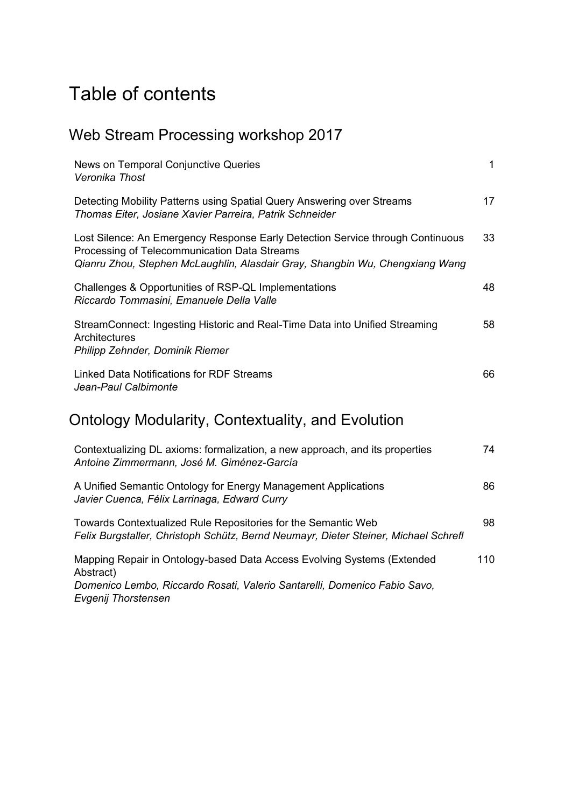### Table of contents

### Web Stream Processing workshop 2017

| News on Temporal Conjunctive Queries<br>Veronika Thost                                                                                                                                                         | $\mathbf{1}$ |
|----------------------------------------------------------------------------------------------------------------------------------------------------------------------------------------------------------------|--------------|
| Detecting Mobility Patterns using Spatial Query Answering over Streams<br>Thomas Eiter, Josiane Xavier Parreira, Patrik Schneider                                                                              | 17           |
| Lost Silence: An Emergency Response Early Detection Service through Continuous<br>Processing of Telecommunication Data Streams<br>Qianru Zhou, Stephen McLaughlin, Alasdair Gray, Shangbin Wu, Chengxiang Wang | 33           |
| Challenges & Opportunities of RSP-QL Implementations<br>Riccardo Tommasini, Emanuele Della Valle                                                                                                               | 48           |
| StreamConnect: Ingesting Historic and Real-Time Data into Unified Streaming<br>Architectures<br>Philipp Zehnder, Dominik Riemer                                                                                | 58           |
| Linked Data Notifications for RDF Streams<br>Jean-Paul Calbimonte                                                                                                                                              | 66           |
| Ontology Modularity, Contextuality, and Evolution                                                                                                                                                              |              |
| Contextualizing DL axioms: formalization, a new approach, and its properties<br>Antoine Zimmermann, José M. Giménez-García                                                                                     | 74           |
| A Unified Semantic Ontology for Energy Management Applications<br>Javier Cuenca, Félix Larrinaga, Edward Curry                                                                                                 | 86           |
| Towards Contextualized Rule Repositories for the Semantic Web<br>Felix Burgstaller, Christoph Schütz, Bernd Neumayr, Dieter Steiner, Michael Schrefl                                                           | 98           |

Mapping Repair in Ontology-based Data Access Evolving Systems (Extended Abstract) *Domenico Lembo, Riccardo Rosati, Valerio Santarelli, Domenico Fabio Savo, Evgenij Thorstensen* 110